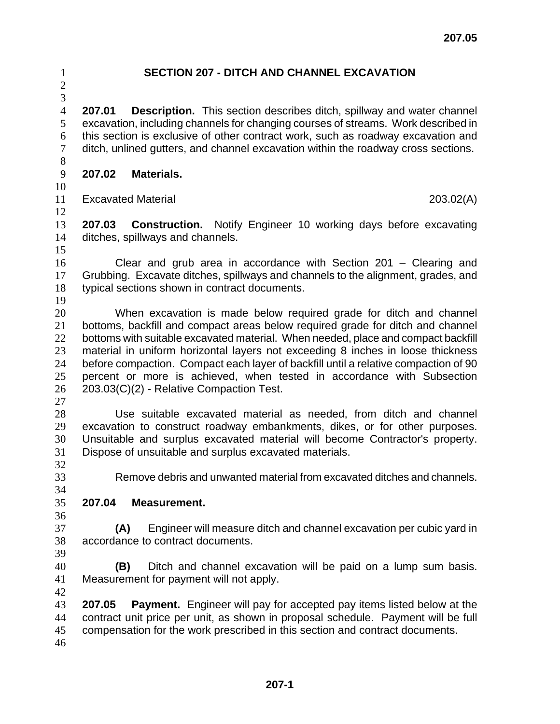## 

## **SECTION 207 - DITCH AND CHANNEL EXCAVATION**

**207.01 Description.** This section describes ditch, spillway and water channel excavation, including channels for changing courses of streams. Work described in this section is exclusive of other contract work, such as roadway excavation and ditch, unlined gutters, and channel excavation within the roadway cross sections. 

**207.02 Materials.**

Excavated Material 203.02(A) 

**207.03 Construction.** Notify Engineer 10 working days before excavating ditches, spillways and channels. 

Clear and grub area in accordance with Section 201 – Clearing and Grubbing. Excavate ditches, spillways and channels to the alignment, grades, and typical sections shown in contract documents.

When excavation is made below required grade for ditch and channel bottoms, backfill and compact areas below required grade for ditch and channel 22 bottoms with suitable excavated material. When needed, place and compact backfill material in uniform horizontal layers not exceeding 8 inches in loose thickness before compaction. Compact each layer of backfill until a relative compaction of 90 percent or more is achieved, when tested in accordance with Subsection 203.03(C)(2) - Relative Compaction Test.

Use suitable excavated material as needed, from ditch and channel excavation to construct roadway embankments, dikes, or for other purposes. Unsuitable and surplus excavated material will become Contractor's property. Dispose of unsuitable and surplus excavated materials. 

Remove debris and unwanted material from excavated ditches and channels.

## **207.04 Measurement.**

**(A)** Engineer will measure ditch and channel excavation per cubic yard in accordance to contract documents. 

**(B)** Ditch and channel excavation will be paid on a lump sum basis. Measurement for payment will not apply.

**207.05 Payment.** Engineer will pay for accepted pay items listed below at the contract unit price per unit, as shown in proposal schedule. Payment will be full compensation for the work prescribed in this section and contract documents.